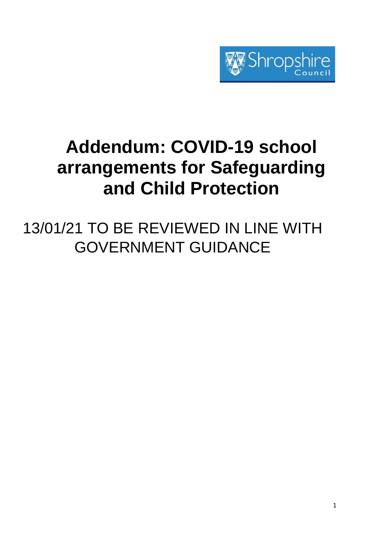

# **Addendum: COVID-19 school arrangements for Safeguarding and Child Protection**

13/01/21 TO BE REVIEWED IN LINE WITH GOVERNMENT GUIDANCE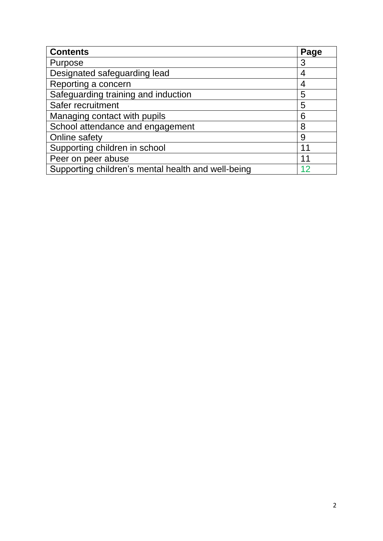| <b>Contents</b>                                    | Page |  |
|----------------------------------------------------|------|--|
| Purpose                                            | 3    |  |
| Designated safeguarding lead                       | 4    |  |
| Reporting a concern                                | 4    |  |
| Safeguarding training and induction                | 5    |  |
| Safer recruitment                                  | 5    |  |
| Managing contact with pupils                       | 6    |  |
| School attendance and engagement                   | 8    |  |
| Online safety                                      | 9    |  |
| Supporting children in school                      | 11   |  |
| Peer on peer abuse                                 | 11   |  |
| Supporting children's mental health and well-being |      |  |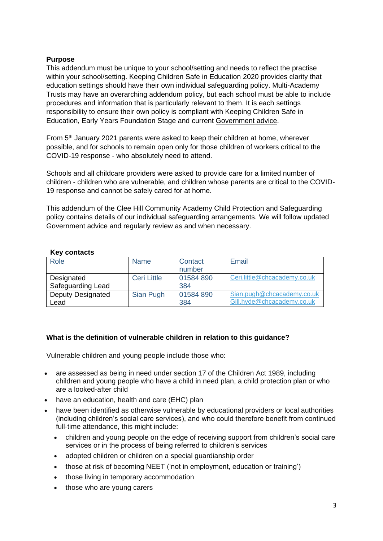## **Purpose**

This addendum must be unique to your school/setting and needs to reflect the practise within your school/setting. Keeping Children Safe in Education 2020 provides clarity that education settings should have their own individual safeguarding policy. Multi-Academy Trusts may have an overarching addendum policy, but each school must be able to include procedures and information that is particularly relevant to them. It is each settings responsibility to ensure their own policy is compliant with Keeping Children Safe in Education, Early Years Foundation Stage and current [Government advice.](https://www.gov.uk/government/publications/coronavirus-covid-19-maintaining-educational-provision/guidance-for-schools-colleges-and-local-authorities-on-maintaining-educational-provision)

From 5<sup>th</sup> January 2021 parents were asked to keep their children at home, wherever possible, and for schools to remain open only for those children of workers critical to the COVID-19 response - who absolutely need to attend.

Schools and all childcare providers were asked to provide care for a limited number of children - children who are vulnerable, and children whose parents are critical to the COVID-19 response and cannot be safely cared for at home.

This addendum of the Clee Hill Community Academy Child Protection and Safeguarding policy contains details of our individual safeguarding arrangements. We will follow updated Government advice and regularly review as and when necessary.

| $\cdots$ ,               |                    |           |                              |  |
|--------------------------|--------------------|-----------|------------------------------|--|
| Role                     | <b>Name</b>        | Contact   | Email                        |  |
|                          |                    | number    |                              |  |
| Designated               | <b>Ceri Little</b> | 01584890  | Ceri.little@chcacademy.co.uk |  |
| Safeguarding Lead        |                    | 384       |                              |  |
| <b>Deputy Designated</b> | Sian Pugh          | 01584 890 | Sian.pugh@chcacademy.co.uk   |  |
| Lead                     |                    | 384       | Gill.hyde@chcacademy.co.uk   |  |

## **Key contacts**

# **What is the definition of vulnerable children in relation to this guidance?**

Vulnerable children and young people include those who:

- are assessed as being in need under section 17 of the Children Act 1989, including children and young people who have a child in need plan, a child protection plan or who are a looked-after child
- have an education, health and care (EHC) plan
- have been identified as otherwise vulnerable by educational providers or local authorities (including children's social care services), and who could therefore benefit from continued full-time attendance, this might include:
	- children and young people on the edge of receiving support from children's social care services or in the process of being referred to children's services
	- adopted children or children on a special guardianship order
	- those at risk of becoming NEET ('not in employment, education or training')
	- those living in temporary accommodation
	- those who are young carers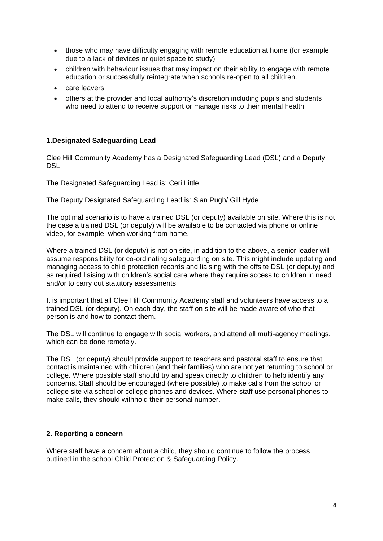- those who may have difficulty engaging with remote education at home (for example due to a lack of devices or quiet space to study)
- children with behaviour issues that may impact on their ability to engage with remote education or successfully reintegrate when schools re-open to all children.
- care leavers
- others at the provider and local authority's discretion including pupils and students who need to attend to receive support or manage risks to their mental health

#### **1.Designated Safeguarding Lead**

Clee Hill Community Academy has a Designated Safeguarding Lead (DSL) and a Deputy DSL.

The Designated Safeguarding Lead is: Ceri Little

The Deputy Designated Safeguarding Lead is: Sian Pugh/ Gill Hyde

The optimal scenario is to have a trained DSL (or deputy) available on site. Where this is not the case a trained DSL (or deputy) will be available to be contacted via phone or online video, for example, when working from home.

Where a trained DSL (or deputy) is not on site, in addition to the above, a senior leader will assume responsibility for co-ordinating safeguarding on site. This might include updating and managing access to child protection records and liaising with the offsite DSL (or deputy) and as required liaising with children's social care where they require access to children in need and/or to carry out statutory assessments.

It is important that all Clee Hill Community Academy staff and volunteers have access to a trained DSL (or deputy). On each day, the staff on site will be made aware of who that person is and how to contact them.

The DSL will continue to engage with social workers, and attend all multi-agency meetings, which can be done remotely.

The DSL (or deputy) should provide support to teachers and pastoral staff to ensure that contact is maintained with children (and their families) who are not yet returning to school or college. Where possible staff should try and speak directly to children to help identify any concerns. Staff should be encouraged (where possible) to make calls from the school or college site via school or college phones and devices. Where staff use personal phones to make calls, they should withhold their personal number.

## **2. Reporting a concern**

Where staff have a concern about a child, they should continue to follow the process outlined in the school Child Protection & Safeguarding Policy.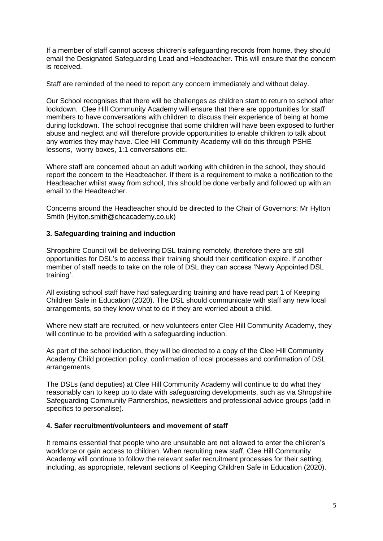If a member of staff cannot access children's safeguarding records from home, they should email the Designated Safeguarding Lead and Headteacher. This will ensure that the concern is received.

Staff are reminded of the need to report any concern immediately and without delay.

Our School recognises that there will be challenges as children start to return to school after lockdown. Clee Hill Community Academy will ensure that there are opportunities for staff members to have conversations with children to discuss their experience of being at home during lockdown. The school recognise that some children will have been exposed to further abuse and neglect and will therefore provide opportunities to enable children to talk about any worries they may have. Clee Hill Community Academy will do this through PSHE lessons, worry boxes, 1:1 conversations etc.

Where staff are concerned about an adult working with children in the school, they should report the concern to the Headteacher. If there is a requirement to make a notification to the Headteacher whilst away from school, this should be done verbally and followed up with an email to the Headteacher.

Concerns around the Headteacher should be directed to the Chair of Governors: Mr Hylton Smith [\(Hylton.smith@chcacademy.co.uk\)](mailto:Hylton.smith@chcacademy.co.uk)

## **3. Safeguarding training and induction**

Shropshire Council will be delivering DSL training remotely, therefore there are still opportunities for DSL's to access their training should their certification expire. If another member of staff needs to take on the role of DSL they can access 'Newly Appointed DSL training'.

All existing school staff have had safeguarding training and have read part 1 of Keeping Children Safe in Education (2020). The DSL should communicate with staff any new local arrangements, so they know what to do if they are worried about a child.

Where new staff are recruited, or new volunteers enter Clee Hill Community Academy, they will continue to be provided with a safeguarding induction.

As part of the school induction, they will be directed to a copy of the Clee Hill Community Academy Child protection policy, confirmation of local processes and confirmation of DSL arrangements.

The DSLs (and deputies) at Clee Hill Community Academy will continue to do what they reasonably can to keep up to date with safeguarding developments, such as via Shropshire Safeguarding Community Partnerships, newsletters and professional advice groups (add in specifics to personalise).

## **4. Safer recruitment/volunteers and movement of staff**

It remains essential that people who are unsuitable are not allowed to enter the children's workforce or gain access to children. When recruiting new staff, Clee Hill Community Academy will continue to follow the relevant safer recruitment processes for their setting, including, as appropriate, relevant sections of Keeping Children Safe in Education (2020).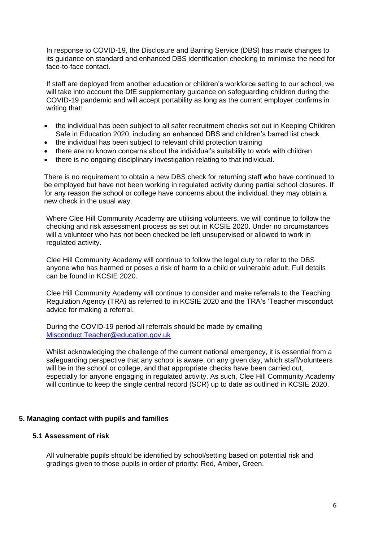In response to COVID-19, the Disclosure and Barring Service (DBS) has made changes to its guidance on standard and enhanced DBS identification checking to minimise the need for face-to-face contact.

If staff are deployed from another education or children's workforce setting to our school, we will take into account the DfE supplementary guidance on safeguarding children during the COVID-19 pandemic and will accept portability as long as the current employer confirms in writing that:

- the individual has been subject to all safer recruitment checks set out in Keeping Children Safe in Education 2020, including an enhanced DBS and children's barred list check
- the individual has been subject to relevant child protection training
- there are no known concerns about the individual's suitability to work with children
- there is no ongoing disciplinary investigation relating to that individual.

There is no requirement to obtain a new DBS check for returning staff who have continued to be employed but have not been working in regulated activity during partial school closures. If for any reason the school or college have concerns about the individual, they may obtain a new check in the usual way.

Where Clee Hill Community Academy are utilising volunteers, we will continue to follow the checking and risk assessment process as set out in KCSIE 2020. Under no circumstances will a volunteer who has not been checked be left unsupervised or allowed to work in regulated activity.

Clee Hill Community Academy will continue to follow the legal duty to refer to the DBS anyone who has harmed or poses a risk of harm to a child or vulnerable adult. Full details can be found in KCSIE 2020.

Clee Hill Community Academy will continue to consider and make referrals to the Teaching Regulation Agency (TRA) as referred to in KCSIE 2020 and the TRA's 'Teacher misconduct advice for making a referral.

During the COVID-19 period all referrals should be made by emailing [Misconduct.Teacher@education.gov.uk](mailto:Misconduct.Teacher@education.gov.uk)

Whilst acknowledging the challenge of the current national emergency, it is essential from a safeguarding perspective that any school is aware, on any given day, which staff/volunteers will be in the school or college, and that appropriate checks have been carried out, especially for anyone engaging in regulated activity. As such, Clee Hill Community Academy will continue to keep the single central record (SCR) up to date as outlined in KCSIE 2020.

## **5. Managing contact with pupils and families**

#### **5.1 Assessment of risk**

All vulnerable pupils should be identified by school/setting based on potential risk and gradings given to those pupils in order of priority: Red, Amber, Green.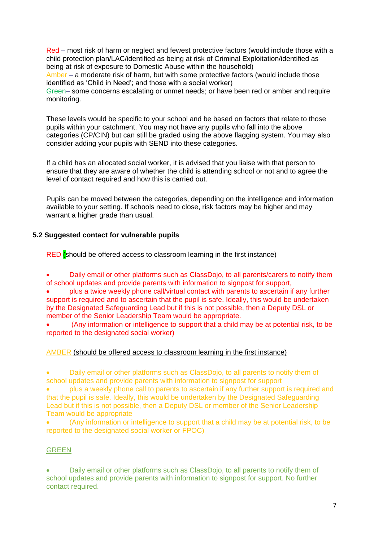Red – most risk of harm or neglect and fewest protective factors (would include those with a child protection plan/LAC/identified as being at risk of Criminal Exploitation/identified as being at risk of exposure to Domestic Abuse within the household) Amber – a moderate risk of harm, but with some protective factors (would include those identified as 'Child in Need'; and those with a social worker) Green– some concerns escalating or unmet needs; or have been red or amber and require monitoring.

These levels would be specific to your school and be based on factors that relate to those pupils within your catchment. You may not have any pupils who fall into the above categories (CP/CIN) but can still be graded using the above flagging system. You may also consider adding your pupils with SEND into these categories.

If a child has an allocated social worker, it is advised that you liaise with that person to ensure that they are aware of whether the child is attending school or not and to agree the level of contact required and how this is carried out.

Pupils can be moved between the categories, depending on the intelligence and information available to your setting. If schools need to close, risk factors may be higher and may warrant a higher grade than usual.

# **5.2 Suggested contact for vulnerable pupils**

## RED (should be offered access to classroom learning in the first instance)

• Daily email or other platforms such as ClassDojo, to all parents/carers to notify them of school updates and provide parents with information to signpost for support,

• plus a twice weekly phone call/virtual contact with parents to ascertain if any further support is required and to ascertain that the pupil is safe. Ideally, this would be undertaken by the Designated Safeguarding Lead but if this is not possible, then a Deputy DSL or member of the Senior Leadership Team would be appropriate.

• (Any information or intelligence to support that a child may be at potential risk, to be reported to the designated social worker)

## AMBER (should be offered access to classroom learning in the first instance)

• Daily email or other platforms such as ClassDojo, to all parents to notify them of school updates and provide parents with information to signpost for support

• plus a weekly phone call to parents to ascertain if any further support is required and that the pupil is safe. Ideally, this would be undertaken by the Designated Safeguarding Lead but if this is not possible, then a Deputy DSL or member of the Senior Leadership Team would be appropriate

• (Any information or intelligence to support that a child may be at potential risk, to be reported to the designated social worker or FPOC)

## GREEN

• Daily email or other platforms such as ClassDojo, to all parents to notify them of school updates and provide parents with information to signpost for support. No further contact required.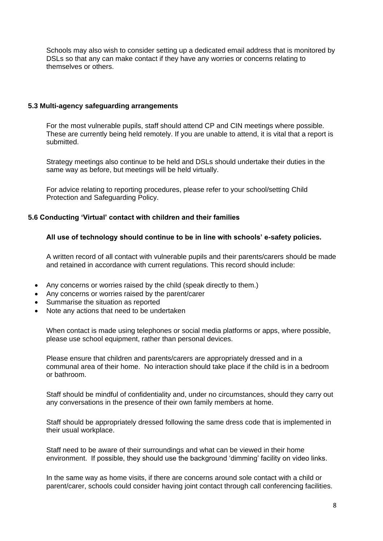Schools may also wish to consider setting up a dedicated email address that is monitored by DSLs so that any can make contact if they have any worries or concerns relating to themselves or others.

#### **5.3 Multi-agency safeguarding arrangements**

For the most vulnerable pupils, staff should attend CP and CIN meetings where possible. These are currently being held remotely. If you are unable to attend, it is vital that a report is submitted.

Strategy meetings also continue to be held and DSLs should undertake their duties in the same way as before, but meetings will be held virtually.

For advice relating to reporting procedures, please refer to your school/setting Child Protection and Safeguarding Policy.

## **5.6 Conducting 'Virtual' contact with children and their families**

#### **All use of technology should continue to be in line with schools' e-safety policies.**

A written record of all contact with vulnerable pupils and their parents/carers should be made and retained in accordance with current regulations. This record should include:

- Any concerns or worries raised by the child (speak directly to them.)
- Any concerns or worries raised by the parent/carer
- Summarise the situation as reported
- Note any actions that need to be undertaken

When contact is made using telephones or social media platforms or apps, where possible, please use school equipment, rather than personal devices.

Please ensure that children and parents/carers are appropriately dressed and in a communal area of their home. No interaction should take place if the child is in a bedroom or bathroom.

Staff should be mindful of confidentiality and, under no circumstances, should they carry out any conversations in the presence of their own family members at home.

Staff should be appropriately dressed following the same dress code that is implemented in their usual workplace.

Staff need to be aware of their surroundings and what can be viewed in their home environment. If possible, they should use the background 'dimming' facility on video links.

In the same way as home visits, if there are concerns around sole contact with a child or parent/carer, schools could consider having joint contact through call conferencing facilities.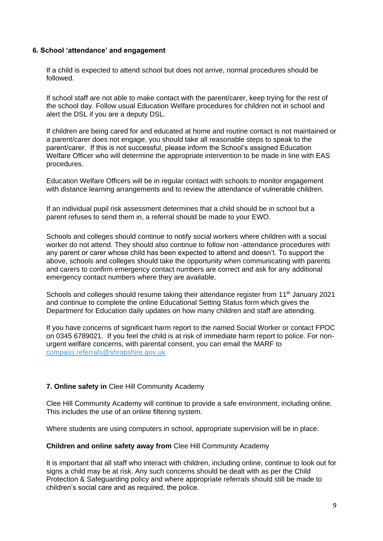### **6. School 'attendance' and engagement**

If a child is expected to attend school but does not arrive, normal procedures should be followed.

If school staff are not able to make contact with the parent/carer, keep trying for the rest of the school day. Follow usual Education Welfare procedures for children not in school and alert the DSL if you are a deputy DSL.

If children are being cared for and educated at home and routine contact is not maintained or a parent/carer does not engage, you should take all reasonable steps to speak to the parent/carer. If this is not successful, please inform the School's assigned Education Welfare Officer who will determine the appropriate intervention to be made in line with EAS procedures.

 Education Welfare Officers will be in regular contact with schools to monitor engagement with distance learning arrangements and to review the attendance of vulnerable children.

 If an individual pupil risk assessment determines that a child should be in school but a parent refuses to send them in, a referral should be made to your EWO.

Schools and colleges should continue to notify social workers where children with a social worker do not attend. They should also continue to follow non -attendance procedures with any parent or carer whose child has been expected to attend and doesn't. To support the above, schools and colleges should take the opportunity when communicating with parents and carers to confirm emergency contact numbers are correct and ask for any additional emergency contact numbers where they are available.

Schools and colleges should resume taking their attendance register from 11<sup>th</sup> January 2021 and continue to complete the online Educational Setting Status form which gives the Department for Education daily updates on how many children and staff are attending.

If you have concerns of significant harm report to the named Social Worker or contact FPOC on 0345 6789021. If you feel the child is at risk of immediate harm report to police. For nonurgent welfare concerns, with parental consent, you can email the MARF to [compass.referrals@shropshire.gov.uk](mailto:compass.referrals@shropshire.gov.uk)

## **7. Online safety in** Clee Hill Community Academy

Clee Hill Community Academy will continue to provide a safe environment, including online. This includes the use of an online filtering system.

Where students are using computers in school, appropriate supervision will be in place.

#### **Children and online safety away from** Clee Hill Community Academy

It is important that all staff who interact with children, including online, continue to look out for signs a child may be at risk. Any such concerns should be dealt with as per the Child Protection & Safeguarding policy and where appropriate referrals should still be made to children's social care and as required, the police.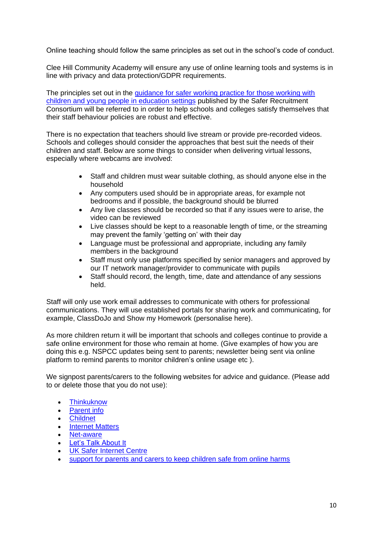Online teaching should follow the same principles as set out in the school's code of conduct.

Clee Hill Community Academy will ensure any use of online learning tools and systems is in line with privacy and data protection/GDPR requirements.

The principles set out in the [guidance for safer working practice for those working with](https://www.saferrecruitmentconsortium.org/)  [children and young people in education settings](https://www.saferrecruitmentconsortium.org/) published by the Safer Recruitment Consortium will be referred to in order to help schools and colleges satisfy themselves that their staff behaviour policies are robust and effective.

There is no expectation that teachers should live stream or provide pre-recorded videos. Schools and colleges should consider the approaches that best suit the needs of their children and staff. Below are some things to consider when delivering virtual lessons, especially where webcams are involved:

- Staff and children must wear suitable clothing, as should anyone else in the household
- Any computers used should be in appropriate areas, for example not bedrooms and if possible, the background should be blurred
- Any live classes should be recorded so that if any issues were to arise, the video can be reviewed
- Live classes should be kept to a reasonable length of time, or the streaming may prevent the family 'getting on' with their day
- Language must be professional and appropriate, including any family members in the background
- Staff must only use platforms specified by senior managers and approved by our IT network manager/provider to communicate with pupils
- Staff should record, the length, time, date and attendance of any sessions held.

Staff will only use work email addresses to communicate with others for professional communications. They will use established portals for sharing work and communicating, for example, ClassDoJo and Show my Homework (personalise here).

As more children return it will be important that schools and colleges continue to provide a safe online environment for those who remain at home. (Give examples of how you are doing this e.g. NSPCC updates being sent to parents; newsletter being sent via online platform to remind parents to monitor children's online usage etc ).

We signpost parents/carers to the following websites for advice and guidance. (Please add to or delete those that you do not use):

- [Thinkuknow](http://www.thinkuknow.co.uk/)
- [Parent info](https://parentinfo.org/)
- [Childnet](https://www.childnet.com/parents-and-carers/parent-and-carer-toolkit)
- [Internet Matters](https://www.internetmatters.org/?gclid=EAIaIQobChMIktuA5LWK2wIVRYXVCh2afg2aEAAYASAAEgIJ5vD_BwE)
- [Net-aware](https://www.net-aware.org.uk/)
- **[Let's Talk About It](https://www.ltai.info/staying-safe-online/)**
- [UK Safer Internet Centre](https://www.saferinternet.org.uk/advice-centre/parents-and-carers)
- [support for parents and carers to keep children safe from online harms](https://www.gov.uk/government/publications/coronavirus-covid-19-keeping-children-safe-online/coronavirus-covid-19-support-for-parents-and-carers-to-keep-children-safe-online)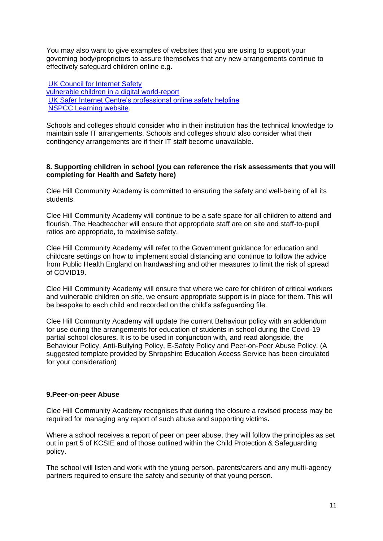You may also want to give examples of websites that you are using to support your governing body/proprietors to assure themselves that any new arrangements continue to effectively safeguard children online e.g.

[UK Council for Internet Safety](https://www.gov.uk/government/publications/online-safety-in-schools-and-colleges-questions-from-the-governing-board) [vulnerable children in a digital world-report](https://www.internetmatters.org/about-us/vulnerable-children-in-a-digital-world-report/) UK Safer [Internet Centre's professional online safety helpline](https://www.saferinternet.org.uk/helpline/professionals-online-safety-helpline) [NSPCC Learning website.](https://learning.nspcc.org.uk/)

Schools and colleges should consider who in their institution has the technical knowledge to maintain safe IT arrangements. Schools and colleges should also consider what their contingency arrangements are if their IT staff become unavailable.

#### **8. Supporting children in school (you can reference the risk assessments that you will completing for Health and Safety here)**

Clee Hill Community Academy is committed to ensuring the safety and well-being of all its students.

Clee Hill Community Academy will continue to be a safe space for all children to attend and flourish. The Headteacher will ensure that appropriate staff are on site and staff-to-pupil ratios are appropriate, to maximise safety.

Clee Hill Community Academy will refer to the Government guidance for education and childcare settings on how to implement social distancing and continue to follow the advice from Public Health England on handwashing and other measures to limit the risk of spread of COVID19.

Clee Hill Community Academy will ensure that where we care for children of critical workers and vulnerable children on site, we ensure appropriate support is in place for them. This will be bespoke to each child and recorded on the child's safeguarding file.

Clee Hill Community Academy will update the current Behaviour policy with an addendum for use during the arrangements for education of students in school during the Covid-19 partial school closures. It is to be used in conjunction with, and read alongside, the Behaviour Policy, Anti-Bullying Policy, E-Safety Policy and Peer-on-Peer Abuse Policy. (A suggested template provided by Shropshire Education Access Service has been circulated for your consideration)

## **9.Peer-on-peer Abuse**

Clee Hill Community Academy recognises that during the closure a revised process may be required for managing any report of such abuse and supporting victims**.** 

Where a school receives a report of peer on peer abuse, they will follow the principles as set out in part 5 of KCSIE and of those outlined within the Child Protection & Safeguarding policy.

The school will listen and work with the young person, parents/carers and any multi-agency partners required to ensure the safety and security of that young person.